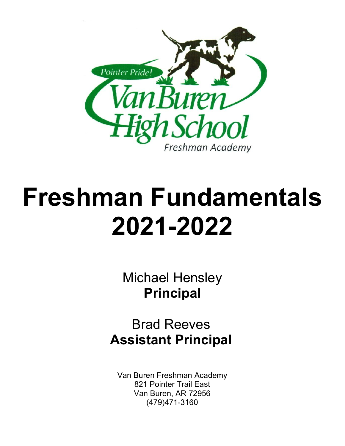

# **Freshman Fundamentals 2021-2022**

Michael Hensley **Principal**

Brad Reeves **Assistant Principal**

Van Buren Freshman Academy 821 Pointer Trail East Van Buren, AR 72956 (479)471-3160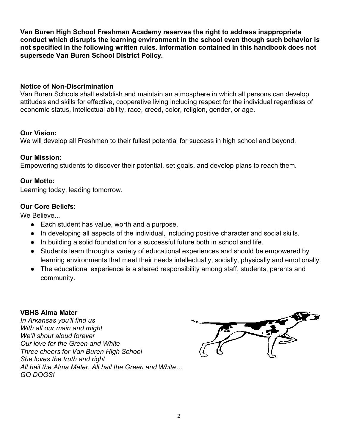**Van Buren High School Freshman Academy reserves the right to address inappropriate conduct which disrupts the learning environment in the school even though such behavior is not specified in the following written rules. Information contained in this handbook does not supersede Van Buren School District Policy.**

#### **Notice of Non-Discrimination**

Van Buren Schools shall establish and maintain an atmosphere in which all persons can develop attitudes and skills for effective, cooperative living including respect for the individual regardless of economic status, intellectual ability, race, creed, color, religion, gender, or age.

#### **Our Vision:**

We will develop all Freshmen to their fullest potential for success in high school and beyond.

#### **Our Mission:**

Empowering students to discover their potential, set goals, and develop plans to reach them.

#### **Our Motto:**

Learning today, leading tomorrow.

#### **Our Core Beliefs:**

We Believe...

- Each student has value, worth and a purpose.
- In developing all aspects of the individual, including positive character and social skills.
- In building a solid foundation for a successful future both in school and life.
- Students learn through a variety of educational experiences and should be empowered by learning environments that meet their needs intellectually, socially, physically and emotionally.
- The educational experience is a shared responsibility among staff, students, parents and community.

#### **VBHS Alma Mater**

*In Arkansas you'll find us With all our main and might We'll shout aloud forever Our love for the Green and White Three cheers for Van Buren High School She loves the truth and right All hail the Alma Mater, All hail the Green and White… GO DOGS!*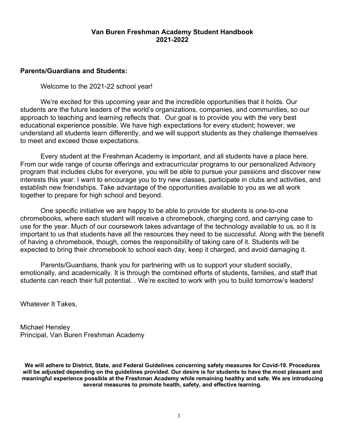#### **Van Buren Freshman Academy Student Handbook 2021-2022**

#### **Parents/Guardians and Students:**

Welcome to the 2021-22 school year!

We're excited for this upcoming year and the incredible opportunities that it holds. Our students are the future leaders of the world's organizations, companies, and communities, so our approach to teaching and learning reflects that. Our goal is to provide you with the very best educational experience possible. We have high expectations for every student; however, we understand all students learn differently, and we will support students as they challenge themselves to meet and exceed those expectations.

Every student at the Freshman Academy is important, and all students have a place here. From our wide range of course offerings and extracurricular programs to our personalized Advisory program that includes clubs for everyone, you will be able to pursue your passions and discover new interests this year. I want to encourage you to try new classes, participate in clubs and activities, and establish new friendships. Take advantage of the opportunities available to you as we all work together to prepare for high school and beyond.

One specific initiative we are happy to be able to provide for students is one-to-one chromebooks, where each student will receive a chromebook, charging cord, and carrying case to use for the year. Much of our coursework takes advantage of the technology available to us, so it is important to us that students have all the resources they need to be successful. Along with the benefit of having a chromebook, though, comes the responsibility of taking care of it. Students will be expected to bring their chromebook to school each day, keep it charged, and avoid damaging it.

Parents/Guardians, thank you for partnering with us to support your student socially, emotionally, and academically. It is through the combined efforts of students, families, and staff that students can reach their full potential. . We're excited to work with you to build tomorrow's leaders!

Whatever It Takes,

Michael Hensley Principal, Van Buren Freshman Academy

**We will adhere to District, State, and Federal Guidelines concerning safety measures for Covid-19. Procedures will be adjusted depending on the guidelines provided. Our desire is for students to have the most pleasant and meaningful experience possible at the Freshman Academy while remaining healthy and safe. We are introducing several measures to promote health, safety, and effective learning.**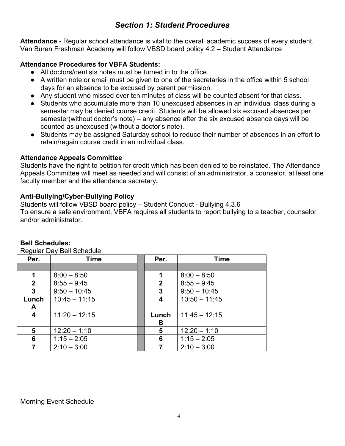# *Section 1: Student Procedures*

**Attendance -** Regular school attendance is vital to the overall academic success of every student. Van Buren Freshman Academy will follow VBSD board policy 4.2 – Student Attendance

#### **Attendance Procedures for VBFA Students:**

- All doctors/dentists notes must be turned in to the office.
- A written note or email must be given to one of the secretaries in the office within 5 school days for an absence to be excused by parent permission.
- Any student who missed over ten minutes of class will be counted absent for that class.
- Students who accumulate more than 10 unexcused absences in an individual class during a semester may be denied course credit. Students will be allowed six excused absences per semester(without doctor's note) – any absence after the six excused absence days will be counted as unexcused (without a doctor's note).
- Students may be assigned Saturday school to reduce their number of absences in an effort to retain/regain course credit in an individual class.

#### **Attendance Appeals Committee**

Students have the right to petition for credit which has been denied to be reinstated. The Attendance Appeals Committee will meet as needed and will consist of an administrator, a counselor, at least one faculty member and the attendance secretary**.** 

#### **Anti-Bullying/Cyber-Bullying Policy**

Students will follow VBSD board policy – Student Conduct - Bullying 4.3.6 To ensure a safe environment, VBFA requires all students to report bullying to a teacher, counselor and/or administrator.

| Deguidi Day Dell Sullegule |                 |  |                          |                 |  |  |
|----------------------------|-----------------|--|--------------------------|-----------------|--|--|
| Per.                       | <b>Time</b>     |  | Per.                     | <b>Time</b>     |  |  |
|                            |                 |  |                          |                 |  |  |
| 1                          | $8:00 - 8:50$   |  | 1                        | $8:00 - 8:50$   |  |  |
| $\mathbf{2}$               | $8:55 - 9:45$   |  | $\mathbf{2}$             | $8:55 - 9:45$   |  |  |
| 3                          | $9:50 - 10:45$  |  | 3                        | $9:50 - 10:45$  |  |  |
| Lunch                      | $10:45 - 11:15$ |  | 4                        | $10:50 - 11:45$ |  |  |
| A                          |                 |  |                          |                 |  |  |
| 4                          | $11:20 - 12:15$ |  | $11:45 - 12:15$<br>Lunch |                 |  |  |
|                            |                 |  | В                        |                 |  |  |
| $5\phantom{1}$             | $12:20 - 1:10$  |  | 5                        | $12:20 - 1:10$  |  |  |
| 6                          | $1:15 - 2:05$   |  | 6                        | $1:15 - 2:05$   |  |  |
|                            | $2:10 - 3:00$   |  |                          | $2:10 - 3:00$   |  |  |

#### **Bell Schedules:**

Regular Day Bell Schedule

Morning Event Schedule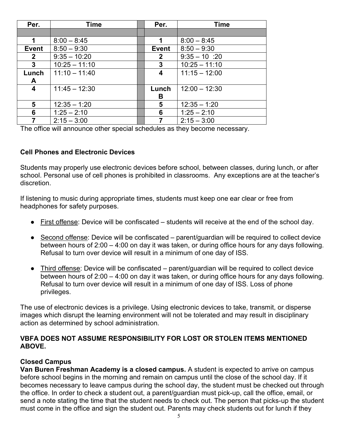| Per.         | <b>Time</b>     | <b>Time</b><br>Per.            |                 |
|--------------|-----------------|--------------------------------|-----------------|
|              |                 |                                |                 |
| 1            | $8:00 - 8:45$   | 1                              | $8:00 - 8:45$   |
| <b>Event</b> | $8:50 - 9:30$   | $8:50 - 9:30$<br><b>Event</b>  |                 |
| $\mathbf{2}$ | $9:35 - 10:20$  | $9:35 - 10:20$<br>$\mathbf{2}$ |                 |
| $\mathbf{3}$ | $10:25 - 11:10$ | 3                              | $10:25 - 11:10$ |
| Lunch        | $11:10 - 11:40$ | 4                              | $11:15 - 12:00$ |
| A            |                 |                                |                 |
| 4            | $11:45 - 12:30$ | $12:00 - 12:30$<br>Lunch       |                 |
|              |                 | В                              |                 |
| 5            | $12:35 - 1:20$  | $12:35 - 1:20$<br>5            |                 |
| 6            | $1:25 - 2:10$   | $1:25 - 2:10$<br>6             |                 |
|              | $2:15 - 3:00$   | $2:15 - 3:00$                  |                 |

The office will announce other special schedules as they become necessary.

#### **Cell Phones and Electronic Devices**

Students may properly use electronic devices before school, between classes, during lunch, or after school. Personal use of cell phones is prohibited in classrooms. Any exceptions are at the teacher's discretion.

If listening to music during appropriate times, students must keep one ear clear or free from headphones for safety purposes.

- First offense: Device will be confiscated students will receive at the end of the school day.
- Second offense: Device will be confiscated parent/guardian will be required to collect device between hours of 2:00 – 4:00 on day it was taken, or during office hours for any days following. Refusal to turn over device will result in a minimum of one day of ISS.
- Third offense: Device will be confiscated parent/guardian will be required to collect device between hours of 2:00 – 4:00 on day it was taken, or during office hours for any days following. Refusal to turn over device will result in a minimum of one day of ISS. Loss of phone privileges.

The use of electronic devices is a privilege. Using electronic devices to take, transmit, or disperse images which disrupt the learning environment will not be tolerated and may result in disciplinary action as determined by school administration.

#### **VBFA DOES NOT ASSUME RESPONSIBILITY FOR LOST OR STOLEN ITEMS MENTIONED ABOVE.**

#### **Closed Campus**

**Van Buren Freshman Academy is a closed campus.** A student is expected to arrive on campus before school begins in the morning and remain on campus until the close of the school day. If it becomes necessary to leave campus during the school day, the student must be checked out through the office. In order to check a student out, a parent/guardian must pick-up, call the office, email, or send a note stating the time that the student needs to check out. The person that picks-up the student must come in the office and sign the student out. Parents may check students out for lunch if they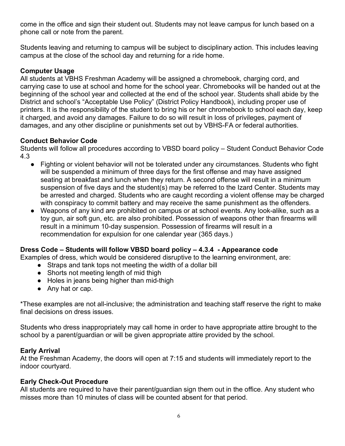come in the office and sign their student out. Students may not leave campus for lunch based on a phone call or note from the parent.

Students leaving and returning to campus will be subject to disciplinary action. This includes leaving campus at the close of the school day and returning for a ride home.

## **Computer Usage**

All students at VBHS Freshman Academy will be assigned a chromebook, charging cord, and carrying case to use at school and home for the school year. Chromebooks will be handed out at the beginning of the school year and collected at the end of the school year. Students shall abide by the District and school's "Acceptable Use Policy" (District Policy Handbook), including proper use of printers. It is the responsibility of the student to bring his or her chromebook to school each day, keep it charged, and avoid any damages. Failure to do so will result in loss of privileges, payment of damages, and any other discipline or punishments set out by VBHS-FA or federal authorities.

#### **Conduct Behavior Code**

Students will follow all procedures according to VBSD board policy – Student Conduct Behavior Code 4.3

- Fighting or violent behavior will not be tolerated under any circumstances. Students who fight will be suspended a minimum of three days for the first offense and may have assigned seating at breakfast and lunch when they return. A second offense will result in a minimum suspension of five days and the student(s) may be referred to the Izard Center. Students may be arrested and charged. Students who are caught recording a violent offense may be charged with conspiracy to commit battery and may receive the same punishment as the offenders.
- Weapons of any kind are prohibited on campus or at school events. Any look-alike, such as a toy gun, air soft gun, etc. are also prohibited. Possession of weapons other than firearms will result in a minimum 10-day suspension. Possession of firearms will result in a recommendation for expulsion for one calendar year (365 days.)

#### **Dress Code – Students will follow VBSD board policy – 4.3.4 - Appearance code**

Examples of dress, which would be considered disruptive to the learning environment, are:

- Straps and tank tops not meeting the width of a dollar bill
- Shorts not meeting length of mid thigh
- Holes in jeans being higher than mid-thigh
- Any hat or cap.

\*These examples are not all-inclusive; the administration and teaching staff reserve the right to make final decisions on dress issues.

Students who dress inappropriately may call home in order to have appropriate attire brought to the school by a parent/guardian or will be given appropriate attire provided by the school.

#### **Early Arrival**

At the Freshman Academy, the doors will open at 7:15 and students will immediately report to the indoor courtyard.

#### **Early Check-Out Procedure**

All students are required to have their parent/guardian sign them out in the office. Any student who misses more than 10 minutes of class will be counted absent for that period.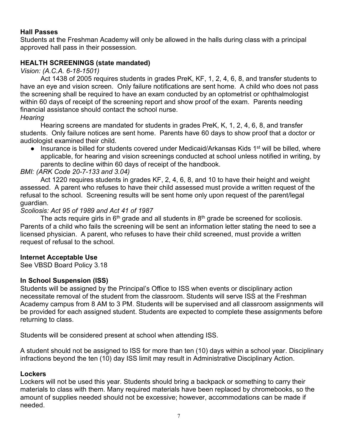#### **Hall Passes**

Students at the Freshman Academy will only be allowed in the halls during class with a principal approved hall pass in their possession.

#### **HEALTH SCREENINGS (state mandated)**

*Vision: (A.C.A. 6-18-1501)*

Act 1438 of 2005 requires students in grades PreK, KF, 1, 2, 4, 6, 8, and transfer students to have an eye and vision screen. Only failure notifications are sent home. A child who does not pass the screening shall be required to have an exam conducted by an optometrist or ophthalmologist within 60 days of receipt of the screening report and show proof of the exam. Parents needing financial assistance should contact the school nurse.

#### *Hearing*

Hearing screens are mandated for students in grades PreK, K, 1, 2, 4, 6, 8, and transfer students. Only failure notices are sent home. Parents have 60 days to show proof that a doctor or audiologist examined their child.

● Insurance is billed for students covered under Medicaid/Arkansas Kids 1<sup>st</sup> will be billed, where applicable, for hearing and vision screenings conducted at school unless notified in writing, by parents to decline within 60 days of receipt of the handbook.

#### *BMI: (ARK Code 20-7-133 and 3.04)*

Act 1220 requires students in grades KF, 2, 4, 6, 8, and 10 to have their height and weight assessed. A parent who refuses to have their child assessed must provide a written request of the refusal to the school. Screening results will be sent home only upon request of the parent/legal guardian.

#### *Scoliosis: Act 95 of 1989 and Act 41 of 1987*

The acts require girls in  $6<sup>th</sup>$  grade and all students in  $8<sup>th</sup>$  grade be screened for scoliosis. Parents of a child who fails the screening will be sent an information letter stating the need to see a licensed physician. A parent, who refuses to have their child screened, must provide a written request of refusal to the school.

#### **Internet Acceptable Use**

See VBSD Board Policy 3.18

#### **In School Suspension (ISS)**

Students will be assigned by the Principal's Office to ISS when events or disciplinary action necessitate removal of the student from the classroom. Students will serve ISS at the Freshman Academy campus from 8 AM to 3 PM. Students will be supervised and all classroom assignments will be provided for each assigned student. Students are expected to complete these assignments before returning to class.

Students will be considered present at school when attending ISS.

A student should not be assigned to ISS for more than ten (10) days within a school year. Disciplinary infractions beyond the ten (10) day ISS limit may result in Administrative Disciplinary Action.

#### **Lockers**

Lockers will not be used this year. Students should bring a backpack or something to carry their materials to class with them. Many required materials have been replaced by chromebooks, so the amount of supplies needed should not be excessive; however, accommodations can be made if needed.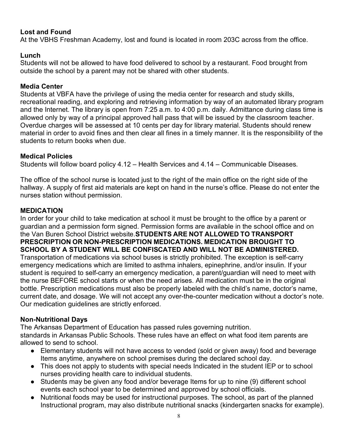## **Lost and Found**

At the VBHS Freshman Academy, lost and found is located in room 203C across from the office.

#### **Lunch**

Students will not be allowed to have food delivered to school by a restaurant. Food brought from outside the school by a parent may not be shared with other students.

#### **Media Center**

Students at VBFA have the privilege of using the media center for research and study skills, recreational reading, and exploring and retrieving information by way of an automated library program and the Internet. The library is open from 7:25 a.m. to 4:00 p.m. daily. Admittance during class time is allowed only by way of a principal approved hall pass that will be issued by the classroom teacher. Overdue charges will be assessed at 10 cents per day for library material. Students should renew material in order to avoid fines and then clear all fines in a timely manner. It is the responsibility of the students to return books when due.

#### **Medical Policies**

Students will follow board policy 4.12 – Health Services and 4.14 – Communicable Diseases.

The office of the school nurse is located just to the right of the main office on the right side of the hallway. A supply of first aid materials are kept on hand in the nurse's office. Please do not enter the nurses station without permission.

#### **MEDICATION**

In order for your child to take medication at school it must be brought to the office by a parent or guardian and a permission form signed. Permission forms are available in the school office and on the Van Buren School District website.**STUDENTS ARE NOT ALLOWED TO TRANSPORT PRESCRIPTION OR NON-PRESCRIPTION MEDICATIONS. MEDICATION BROUGHT TO SCHOOL BY A STUDENT WILL BE CONFISCATED AND WILL NOT BE ADMINISTERED.** Transportation of medications via school buses is strictly prohibited. The exception is self-carry emergency medications which are limited to asthma inhalers, epinephrine, and/or insulin. If your student is required to self-carry an emergency medication, a parent/guardian will need to meet with the nurse BEFORE school starts or when the need arises. All medication must be in the original bottle. Prescription medications must also be properly labeled with the child's name, doctor's name, current date, and dosage. We will not accept any over-the-counter medication without a doctor's note. Our medication guidelines are strictly enforced.

#### **Non-Nutritional Days**

The Arkansas Department of Education has passed rules governing nutrition.

standards in Arkansas Public Schools. These rules have an effect on what food item parents are allowed to send to school.

- Elementary students will not have access to vended (sold or given away) food and beverage Items anytime, anywhere on school premises during the declared school day.
- This does not apply to students with special needs Indicated in the student IEP or to school nurses providing health care to individual students.
- Students may be given any food and/or beverage Items for up to nine (9) different school events each school year to be determined and approved by school officials.
- Nutritional foods may be used for instructional purposes. The school, as part of the planned Instructional program, may also distribute nutritional snacks (kindergarten snacks for example).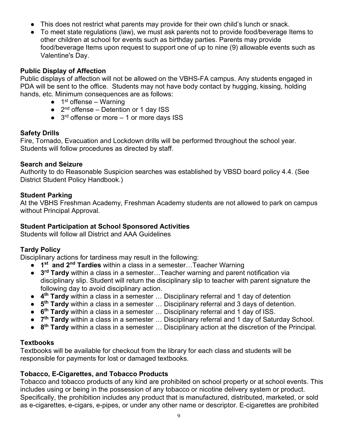- This does not restrict what parents may provide for their own child's lunch or snack.
- To meet state regulations (law), we must ask parents not to provide food/beverage Items to other children at school for events such as birthday parties. Parents may provide food/beverage Items upon request to support one of up to nine (9) allowable events such as Valentine's Day.

#### **Public Display of Affection**

Public displays of affection will not be allowed on the VBHS-FA campus. Any students engaged in PDA will be sent to the office. Students may not have body contact by hugging, kissing, holding hands, etc. Minimum consequences are as follows:

- $\bullet$  1<sup>st</sup> offense Warning
- $\bullet$  2<sup>nd</sup> offense Detention or 1 day ISS
- $\bullet$  3<sup>rd</sup> offense or more 1 or more days ISS

## **Safety Drills**

Fire, Tornado, Evacuation and Lockdown drills will be performed throughout the school year. Students will follow procedures as directed by staff.

#### **Search and Seizure**

Authority to do Reasonable Suspicion searches was established by VBSD board policy 4.4. (See District Student Policy Handbook.)

#### **Student Parking**

At the VBHS Freshman Academy, Freshman Academy students are not allowed to park on campus without Principal Approval.

## **Student Participation at School Sponsored Activities**

Students will follow all District and AAA Guidelines

# **Tardy Policy**

Disciplinary actions for tardiness may result in the following:

- 1<sup>st</sup> and 2<sup>nd</sup> Tardies within a class in a semester…Teacher Warning
- **3<sup>rd</sup> Tardy** within a class in a semester...Teacher warning and parent notification via disciplinary slip. Student will return the disciplinary slip to teacher with parent signature the following day to avoid disciplinary action.
- **4th Tardy** within a class in a semester … Disciplinary referral and 1 day of detention
- **5th Tardy** within a class in a semester … Disciplinary referral and 3 days of detention.
- **6th Tardy** within a class in a semester … Disciplinary referral and 1 day of ISS.
- **7th Tardy** within a class in a semester … Disciplinary referral and 1 day of Saturday School.
- **8th Tardy** within a class in a semester … Disciplinary action at the discretion of the Principal.

# **Textbooks**

Textbooks will be available for checkout from the library for each class and students will be responsible for payments for lost or damaged textbooks.

#### **Tobacco, E-Cigarettes, and Tobacco Products**

Tobacco and tobacco products of any kind are prohibited on school property or at school events. This includes using or being in the possession of any tobacco or nicotine delivery system or product. Specifically, the prohibition includes any product that is manufactured, distributed, marketed, or sold as e-cigarettes, e-cigars, e-pipes, or under any other name or descriptor. E-cigarettes are prohibited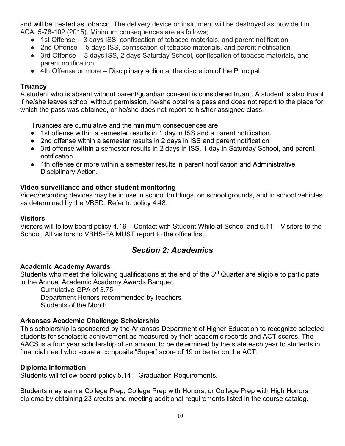and will be treated as tobacco. The delivery device or instrument will be destroyed as provided in ACA. 5-78-102 (2015). Minimum consequences are as follows;

- 1st Offense -- 3 days ISS, confiscation of tobacco materials, and parent notification
- 2nd Offense -- 5 days ISS, confiscation of tobacco materials, and parent notification
- 3rd Offense -- 3 days ISS, 2 days Saturday School, confiscation of tobacco materials, and parent notification
- 4th Offense or more -- Disciplinary action at the discretion of the Principal.

#### **Truancy**

A student who is absent without parent/guardian consent is considered truant. A student is also truant if he/she leaves school without permission, he/she obtains a pass and does not report to the place for which the pass was obtained, or he/she does not report to his/her assigned class.

Truancies are cumulative and the minimum consequences are:

- 1st offense within a semester results in 1 day in ISS and a parent notification.
- 2nd offense within a semester results in 2 days in ISS and parent notification
- 3rd offense within a semester results in 2 days in ISS, 1 day in Saturday School, and parent notification.
- 4th offense or more within a semester results in parent notification and Administrative Disciplinary Action.

#### **Video surveillance and other student monitoring**

Video/recording devices may be in use in school buildings, on school grounds, and in school vehicles as determined by the VBSD. Refer to policy 4.48.

#### **Visitors**

Visitors will follow board policy 4.19 – Contact with Student While at School and 6.11 – Visitors to the School. All visitors to VBHS-FA MUST report to the office first.

# *Section 2: Academics*

#### **Academic Academy Awards**

Students who meet the following qualifications at the end of the 3<sup>rd</sup> Quarter are eligible to participate in the Annual Academic Academy Awards Banquet.

Cumulative GPA of 3.75

Department Honors recommended by teachers Students of the Month

#### **Arkansas Academic Challenge Scholarship**

This scholarship is sponsored by the Arkansas Department of Higher Education to recognize selected students for scholastic achievement as measured by their academic records and ACT scores. The AACS is a four year scholarship of an amount to be determined by the state each year to students in financial need who score a composite "Super" score of 19 or better on the ACT.

#### **Diploma Information**

Students will follow board policy 5.14 – Graduation Requirements.

Students may earn a College Prep, College Prep with Honors, or College Prep with High Honors diploma by obtaining 23 credits and meeting additional requirements listed in the course catalog.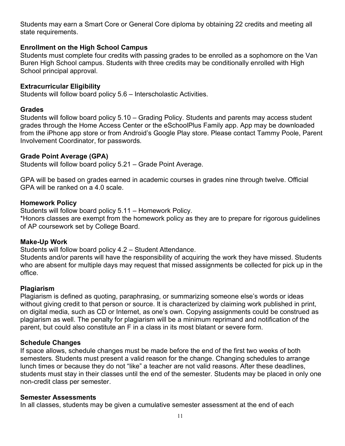Students may earn a Smart Core or General Core diploma by obtaining 22 credits and meeting all state requirements.

#### **Enrollment on the High School Campus**

Students must complete four credits with passing grades to be enrolled as a sophomore on the Van Buren High School campus. Students with three credits may be conditionally enrolled with High School principal approval.

#### **Extracurricular Eligibility**

Students will follow board policy 5.6 – Interscholastic Activities.

#### **Grades**

Students will follow board policy 5.10 – Grading Policy. Students and parents may access student grades through the Home Access Center or the eSchoolPlus Family app. App may be downloaded from the iPhone app store or from Android's Google Play store. Please contact Tammy Poole, Parent Involvement Coordinator, for passwords.

#### **Grade Point Average (GPA)**

Students will follow board policy 5.21 – Grade Point Average.

GPA will be based on grades earned in academic courses in grades nine through twelve. Official GPA will be ranked on a 4.0 scale.

#### **Homework Policy**

Students will follow board policy 5.11 – Homework Policy.

\*Honors classes are exempt from the homework policy as they are to prepare for rigorous guidelines of AP coursework set by College Board.

#### **Make-Up Work**

Students will follow board policy 4.2 – Student Attendance.

Students and/or parents will have the responsibility of acquiring the work they have missed. Students who are absent for multiple days may request that missed assignments be collected for pick up in the office.

#### **Plagiarism**

Plagiarism is defined as quoting, paraphrasing, or summarizing someone else's words or ideas without giving credit to that person or source. It is characterized by claiming work published in print, on digital media, such as CD or Internet, as one's own. Copying assignments could be construed as plagiarism as well. The penalty for plagiarism will be a minimum reprimand and notification of the parent, but could also constitute an F in a class in its most blatant or severe form.

#### **Schedule Changes**

If space allows, schedule changes must be made before the end of the first two weeks of both semesters. Students must present a valid reason for the change. Changing schedules to arrange lunch times or because they do not "like" a teacher are not valid reasons. After these deadlines, students must stay in their classes until the end of the semester. Students may be placed in only one non-credit class per semester.

#### **Semester Assessments**

In all classes, students may be given a cumulative semester assessment at the end of each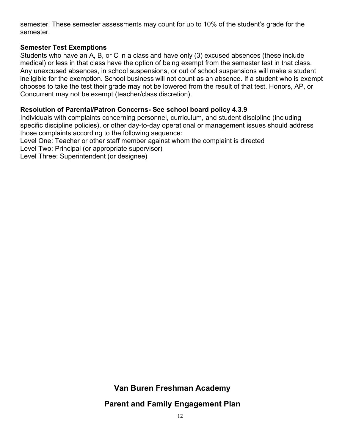semester. These semester assessments may count for up to 10% of the student's grade for the semester.

#### **Semester Test Exemptions**

Students who have an A, B, or C in a class and have only (3) excused absences (these include medical) or less in that class have the option of being exempt from the semester test in that class. Any unexcused absences, in school suspensions, or out of school suspensions will make a student ineligible for the exemption. School business will not count as an absence. If a student who is exempt chooses to take the test their grade may not be lowered from the result of that test. Honors, AP, or Concurrent may not be exempt (teacher/class discretion).

#### **Resolution of Parental/Patron Concerns- See school board policy 4.3.9**

Individuals with complaints concerning personnel, curriculum, and student discipline (including specific discipline policies), or other day-to-day operational or management issues should address those complaints according to the following sequence:

Level One: Teacher or other staff member against whom the complaint is directed

Level Two: Principal (or appropriate supervisor)

Level Three: Superintendent (or designee)

# **Van Buren Freshman Academy**

# **Parent and Family Engagement Plan**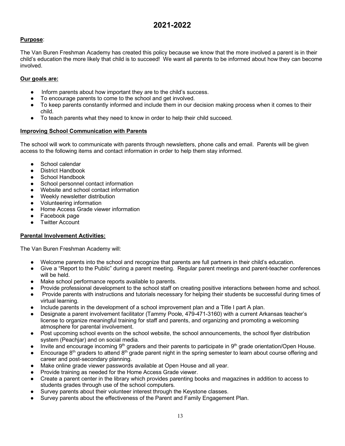# **2021-2022**

#### **Purpose**:

The Van Buren Freshman Academy has created this policy because we know that the more involved a parent is in their child's education the more likely that child is to succeed! We want all parents to be informed about how they can become involved.

#### **Our goals are:**

- Inform parents about how important they are to the child's success.
- To encourage parents to come to the school and get involved.
- To keep parents constantly informed and include them in our decision making process when it comes to their child.
- To teach parents what they need to know in order to help their child succeed.

#### **Improving School Communication with Parents**

The school will work to communicate with parents through newsletters, phone calls and email. Parents will be given access to the following items and contact information in order to help them stay informed.

- School calendar
- District Handbook
- School Handbook
- School personnel contact information
- Website and school contact information
- Weekly newsletter distribution
- Volunteering information
- Home Access Grade viewer information
- Facebook page
- **Twitter Account**

#### **Parental Involvement Activities:**

The Van Buren Freshman Academy will:

- Welcome parents into the school and recognize that parents are full partners in their child's education.
- Give a "Report to the Public" during a parent meeting. Regular parent meetings and parent-teacher conferences will be held.
- Make school performance reports available to parents.
- Provide professional development to the school staff on creating positive interactions between home and school.
- Provide parents with instructions and tutorials necessary for helping their students be successful during times of virtual learning.
- Include parents in the development of a school improvement plan and a Title I part A plan.
- Designate a parent involvement facilitator (Tammy Poole, 479-471-3160) with a current Arkansas teacher's license to organize meaningful training for staff and parents, and organizing and promoting a welcoming atmosphere for parental involvement.
- Post upcoming school events on the school website, the school announcements, the school flyer distribution system (Peachjar) and on social media.
- Invite and encourage incoming 9<sup>th</sup> graders and their parents to participate in 9<sup>th</sup> grade orientation/Open House.
- Encourage 8<sup>th</sup> graders to attend 8<sup>th</sup> grade parent night in the spring semester to learn about course offering and career and post-secondary planning.
- Make online grade viewer passwords available at Open House and all year.
- Provide training as needed for the Home Access Grade viewer.
- Create a parent center in the library which provides parenting books and magazines in addition to access to students grades through use of the school computers.
- Survey parents about their volunteer interest through the Keystone classes.
- Survey parents about the effectiveness of the Parent and Family Engagement Plan.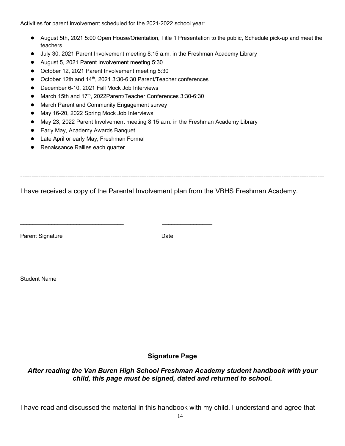Activities for parent involvement scheduled for the 2021-2022 school year:

- August 5th, 2021 5:00 Open House/Orientation, Title 1 Presentation to the public, Schedule pick-up and meet the teachers
- July 30, 2021 Parent Involvement meeting 8:15 a.m. in the Freshman Academy Library
- August 5, 2021 Parent Involvement meeting 5:30
- October 12, 2021 Parent Involvement meeting 5:30
- October 12th and 14<sup>th</sup>, 2021 3:30-6:30 Parent/Teacher conferences
- December 6-10, 2021 Fall Mock Job Interviews
- March 15th and 17<sup>th</sup>, 2022Parent/Teacher Conferences 3:30-6:30

\_\_\_\_\_\_\_\_\_\_\_\_\_\_\_\_\_\_\_\_\_\_\_\_\_\_\_\_\_\_\_\_\_ \_\_\_\_\_\_\_\_\_\_\_\_\_\_\_\_

- March Parent and Community Engagement survey
- May 16-20, 2022 Spring Mock Job Interviews
- May 23, 2022 Parent Involvement meeting 8:15 a.m. in the Freshman Academy Library
- Early May, Academy Awards Banquet
- Late April or early May, Freshman Formal
- Renaissance Rallies each quarter

\_\_\_\_\_\_\_\_\_\_\_\_\_\_\_\_\_\_\_\_\_\_\_\_\_\_\_\_\_\_\_\_\_

I have received a copy of the Parental Involvement plan from the VBHS Freshman Academy.

---------------------------------------------------------------------------------------------------------------------------------------

Parent Signature Date Date

Student Name

**Signature Page**

*After reading the Van Buren High School Freshman Academy student handbook with your child, this page must be signed, dated and returned to school.*

I have read and discussed the material in this handbook with my child. I understand and agree that